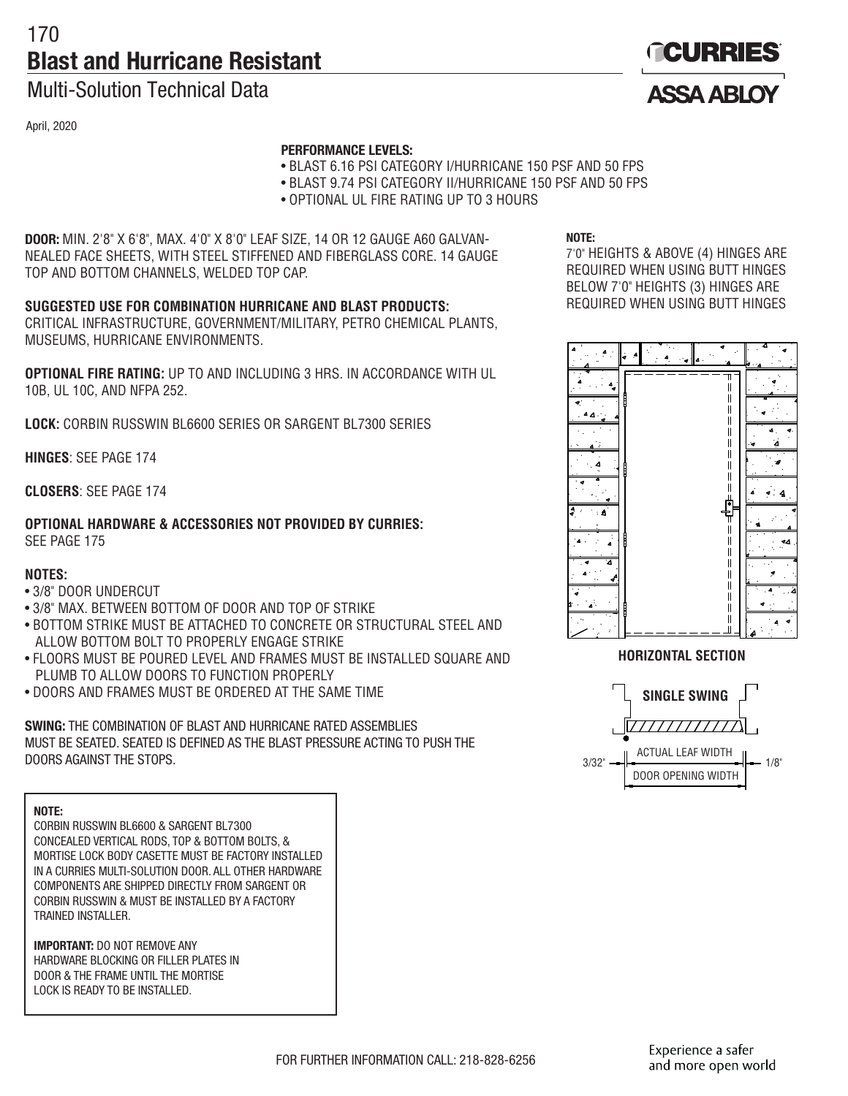# 170 **Blast and Hurricane Resistant**

### Multi-Solution Technical Data

April, 2020

### **PERFORMANCE LEVELS:**

- BLAST 6.16 PSI CATEGORY I/HURRICANE 150 PSF AND 50 FPS
- BLAST 9.74 PSI CATEGORY II/HURRICANE 150 PSF AND 50 FPS
- OPTIONAL UL FIRE RATING UP TO 3 HOURS

**DOOR:** MIN. 2'8" X 6'8", MAX. 4'0" X 8'0" LEAF SIZE, 14 OR 12 GAUGE A60 GALVAN-NEALED FACE SHEETS, WITH STEEL STIFFENED AND FIBERGLASS CORE. 14 GAUGE TOP AND BOTTOM CHANNELS, WELDED TOP CAP.

### **SUGGESTED USE FOR COMBINATION HURRICANE AND BLAST PRODUCTS:**

CRITICAL INFRASTRUCTURE, GOVERNMENT/MILITARY, PETRO CHEMICAL PLANTS, MUSEUMS, HURRICANE ENVIRONMENTS.

**OPTIONAL FIRE RATING:** UP TO AND INCLUDING 3 HRS. IN ACCORDANCE WITH UL 10B, UL 10C, AND NFPA 252.

**LOCK:** CORBIN RUSSWIN BL6600 SERIES OR SARGENT BL7300 SERIES

**HINGES**: SEE PAGE 174

**CLOSERS**: SEE PAGE 174

**OPTIONAL HARDWARE & ACCESSORIES NOT PROVIDED BY CURRIES:** SEE PAGE 175

### **NOTES:**

- 3/8" DOOR UNDERCUT
- 3/8" MAX. BETWEEN BOTTOM OF DOOR AND TOP OF STRIKE
- BOTTOM STRIKE MUST BE ATTACHED TO CONCRETE OR STRUCTURAL STEEL AND ALLOW BOTTOM BOLT TO PROPERLY ENGAGE STRIKE
- FLOORS MUST BE POURED LEVEL AND FRAMES MUST BE INSTALLED SQUARE AND PLUMB TO ALLOW DOORS TO FUNCTION PROPERLY
- DOORS AND FRAMES MUST BE ORDERED AT THE SAME TIME

**SWING:** THE COMBINATION OF BLAST AND HURRICANE RATED ASSEMBLIES MUST BE SEATED. SEATED IS DEFINED AS THE BLAST PRESSURE ACTING TO PUSH THE DOORS AGAINST THE STOPS.

**NOTE:**

CORBIN RUSSWIN BL6600 & SARGENT BL7300 CONCEALED VERTICAL RODS, TOP & BOTTOM BOLTS, & MORTISE LOCK BODY CASETTE MUST BE FACTORY INSTALLED IN A CURRIES MULTI-SOLUTION DOOR. ALL OTHER HARDWARE COMPONENTS ARE SHIPPED DIRECTLY FROM SARGENT OR CORBIN RUSSWIN & MUST BE INSTALLED BY A FACTORY TRAINED INSTALLER.

**IMPORTANT:** DO NOT REMOVE ANY HARDWARE BLOCKING OR FILLER PLATES IN DOOR & THE FRAME UNTIL THE MORTISE LOCK IS READY TO BE INSTALLED.

**NOTE:**

7'0" HEIGHTS & ABOVE (4) HINGES ARE REQUIRED WHEN USING BUTT HINGES BELOW 7'0" HEIGHTS (3) HINGES ARE REQUIRED WHEN USING BUTT HINGES



**HORIZONTAL SECTION**



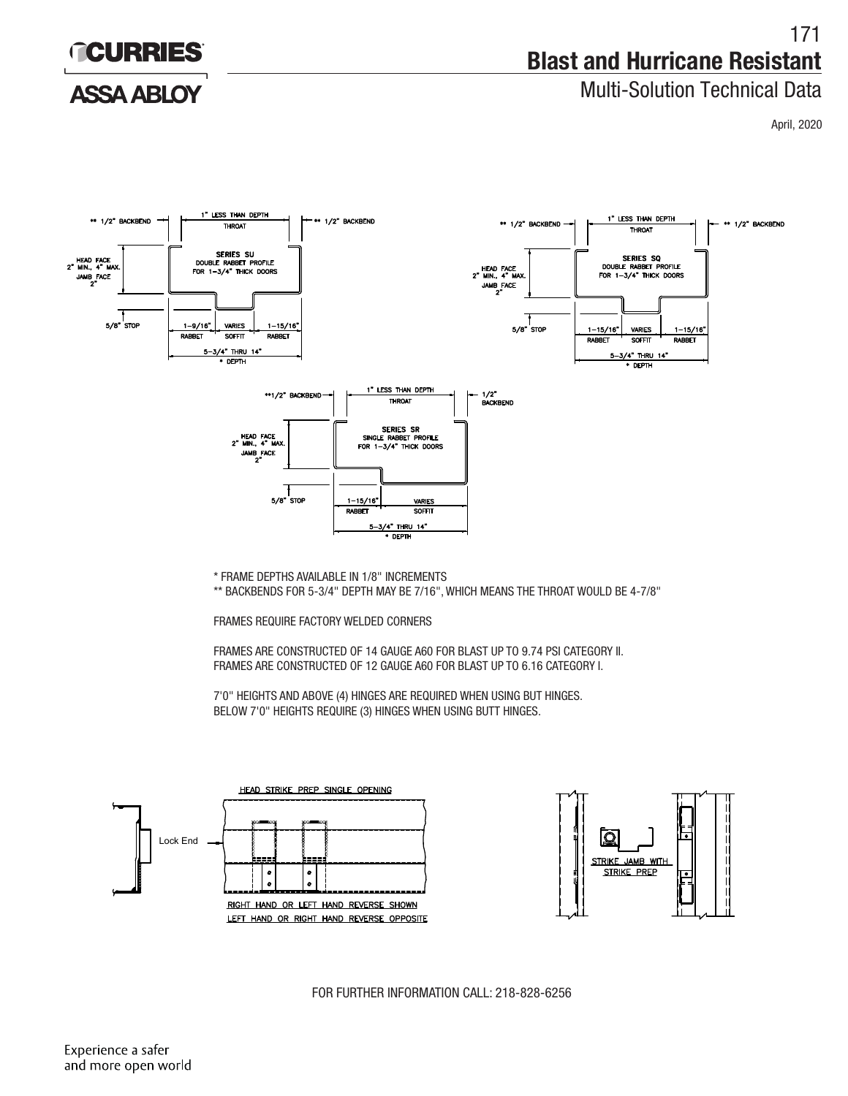

# Multi-Solution Technical Data

**ACURRIES** 

### **ASSA ABLOY**

April, 2020



\*\* BACKBENDS FOR 5-3/4" DEPTH MAY BE 7/16", WHICH MEANS THE THROAT WOULD BE 4-7/8"

FRAMES REQUIRE FACTORY WELDED CORNERS

FRAMES ARE CONSTRUCTED OF 14 GAUGE A60 FOR BLAST UP TO 9.74 PSI CATEGORY II. FRAMES ARE CONSTRUCTED OF 12 GAUGE A60 FOR BLAST UP TO 6.16 CATEGORY I.

7'0" HEIGHTS AND ABOVE (4) HINGES ARE REQUIRED WHEN USING BUT HINGES. BELOW 7'0" HEIGHTS REQUIRE (3) HINGES WHEN USING BUTT HINGES.





FOR FURTHER INFORMATION CALL: 218-828-6256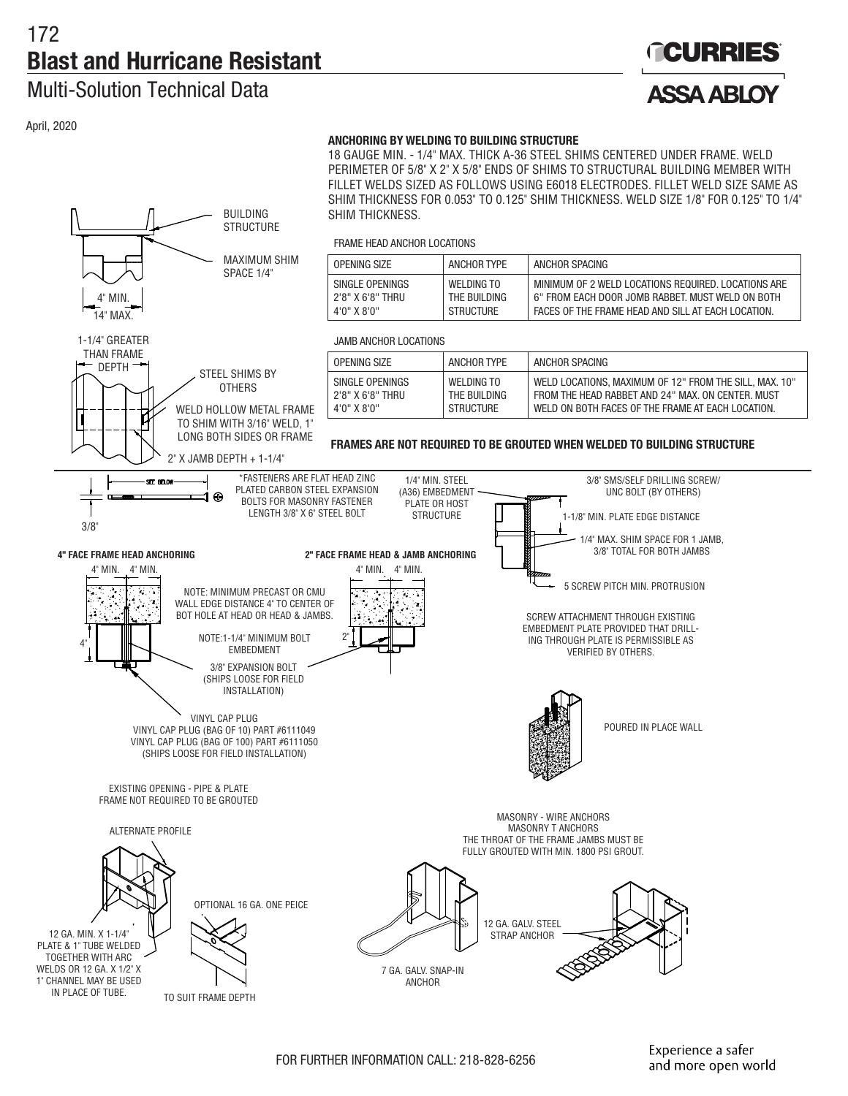DEPTH STEEL SHIMS BY

**STRUCTURE** 

**OTHERS** WELD HOLLOW METAL FRAME TO SHIM WITH 3/16" WELD, 1" LONG BOTH SIDES OR FRAME

MAXIMUM SHIM SPACE 1/4"

### Multi-Solution Technical Data

4" MIN. 14" MAX. 1-1/4" GREATER THAN FRAME

April, 2020

# **GCURRIES ASSA ARIOY**

#### **ANCHORING BY WELDING TO BUILDING STRUCTURE**

18 GAUGE MIN. - 1/4" MAX. THICK A-36 STEEL SHIMS CENTERED UNDER FRAME. WELD PERIMETER OF 5/8" X 2" X 5/8" ENDS OF SHIMS TO STRUCTURAL BUILDING MEMBER WITH FILLET WELDS SIZED AS FOLLOWS USING E6018 ELECTRODES. FILLET WELD SIZE SAME AS SHIM THICKNESS FOR 0.053" TO 0.125" SHIM THICKNESS. WELD SIZE 1/8" FOR 0.125" TO 1/4" BUILDING SHIM THICKNESS.

FRAME HEAD ANCHOR LOCATIONS

| OPFNING SIZE     | ANCHOR TYPF  | ANCHOR SPACING                                      |
|------------------|--------------|-----------------------------------------------------|
| SINGLE OPENINGS  | WFI DING TO  | MINIMUM OF 2 WELD LOCATIONS REQUIRED. LOCATIONS ARE |
| 2'8" X 6'8" THRU | THE BUILDING | 6" FROM EACH DOOR JOMB RABBET. MUST WELD ON BOTH    |
| 4'0" X 8'0"      | STRUCTURE    | FACES OF THE FRAME HEAD AND SILL AT FACH LOCATION.  |

JAMB ANCHOR LOCATIONS

| OPENING SIZE     | ANCHOR TYPE      | ANCHOR SPACING                                         |
|------------------|------------------|--------------------------------------------------------|
| SINGLE OPENINGS  | WFI DING TO      | WELD LOCATIONS. MAXIMUM OF 12" FROM THE SILL. MAX. 10" |
| 2'8" X 6'8" THRU | THE BUILDING     | FROM THE HEAD RABBET AND 24" MAX, ON CENTER, MUST      |
| 4'0" X 8'0"      | <b>STRUCTURE</b> | WELD ON BOTH FACES OF THE FRAME AT EACH LOCATION.      |

**FRAMES ARE NOT REQUIRED TO BE GROUTED WHEN WELDED TO BUILDING STRUCTURE**

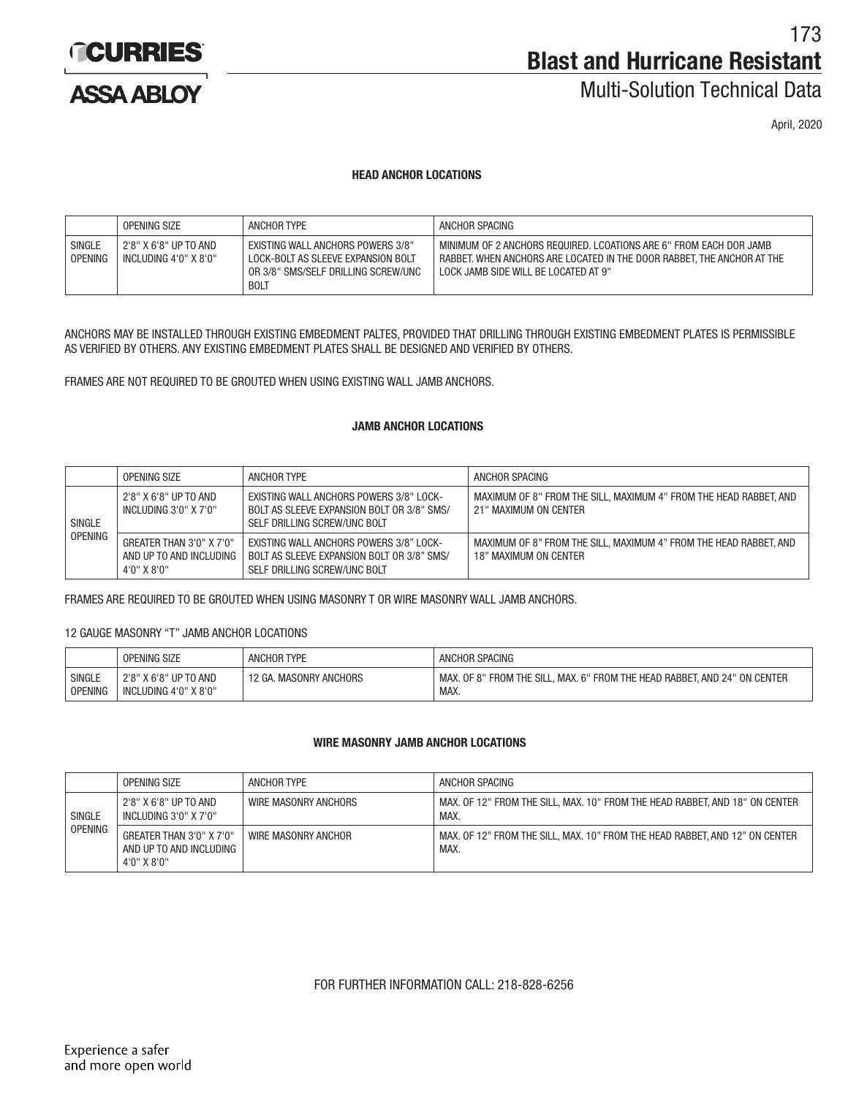

**ASSA ARIOY** 

173 **Blast and Hurricane Resistant**

# Multi-Solution Technical Data

April, 2020

#### **HEAD ANCHOR LOCATIONS**

|                                 | OPENING SIZE                                   | ANCHOR TYPE                                                                                                                   | ANCHOR SPACING                                                                                                                                                                       |
|---------------------------------|------------------------------------------------|-------------------------------------------------------------------------------------------------------------------------------|--------------------------------------------------------------------------------------------------------------------------------------------------------------------------------------|
| <b>SINGLE</b><br><b>OPENING</b> | 2'8" X 6'8" UP TO AND<br>INCLUDING 4'0" X 8'0" | EXISTING WALL ANCHORS POWERS 3/8"<br>LOCK-BOLT AS SLEEVE EXPANSION BOLT<br>OR 3/8" SMS/SELF DRILLING SCREW/UNC<br><b>BOLT</b> | MINIMUM OF 2 ANCHORS REQUIRED. LCOATIONS ARE 6" FROM EACH DOR JAMB<br>RABBET. WHEN ANCHORS ARE LOCATED IN THE DOOR RABBET. THE ANCHOR AT THE<br>LOCK JAMB SIDE WILL BE LOCATED AT 9" |

ANCHORS MAY BE INSTALLED THROUGH EXISTING EMBEDMENT PALTES, PROVIDED THAT DRILLING THROUGH EXISTING EMBEDMENT PLATES IS PERMISSIBLE AS VERIFIED BY OTHERS. ANY EXISTING EMBEDMENT PLATES SHALL BE DESIGNED AND VERIFIED BY OTHERS.

FRAMES ARE NOT REQUIRED TO BE GROUTED WHEN USING EXISTING WALL JAMB ANCHORS.

### **JAMB ANCHOR LOCATIONS**

|                | OPENING SIZE                                                         | ANCHOR TYPE                                                                                                                  | ANCHOR SPACING                                                                             |
|----------------|----------------------------------------------------------------------|------------------------------------------------------------------------------------------------------------------------------|--------------------------------------------------------------------------------------------|
| SINGLE         | 2'8" X 6'8" UP TO AND<br>INCLUDING 3'0" X 7'0"                       | EXISTING WALL ANCHORS POWERS 3/8" LOCK-<br>BOLT AS SLEEVE EXPANSION BOLT OR 3/8" SMS/<br>SELF DRILLING SCREW/UNC BOLT        | MAXIMUM OF 8" FROM THE SILL. MAXIMUM 4" FROM THE HEAD RABBET. AND<br>21" MAXIMUM ON CENTER |
| <b>OPENING</b> | GREATER THAN 3'0" X 7'0"<br>AND UP TO AND INCLUDING  <br>4'0" X 8'0" | <b>EXISTING WALL ANCHORS POWERS 3/8" LOCK-</b><br>BOLT AS SLEEVE EXPANSION BOLT OR 3/8" SMS/<br>SELF DRILLING SCREW/UNC BOLT | MAXIMUM OF 8" FROM THE SILL. MAXIMUM 4" FROM THE HEAD RABBET. AND<br>18" MAXIMUM ON CENTER |

FRAMES ARE REQUIRED TO BE GROUTED WHEN USING MASONRY T OR WIRE MASONRY WALL JAMB ANCHORS.

#### 12 GAUGE MASONRY "T" JAMB ANCHOR LOCATIONS

|                | OPENING SIZE          | <b>ANCHOR TYPE</b>     | ANCHOR SPACING                                                            |
|----------------|-----------------------|------------------------|---------------------------------------------------------------------------|
| SINGLE         | 2'8" X 6'8" UP TO AND | 12 GA. MASONRY ANCHORS | MAX. OF 8" FROM THE SILL. MAX. 6" FROM THE HEAD RABBET. AND 24" ON CENTER |
| <b>OPENING</b> | INCLUDING 4'0" X 8'0" |                        | MAX.                                                                      |

#### **WIRE MASONRY JAMB ANCHOR LOCATIONS**

|               | OPENING SIZE                                                             | ANCHOR TYPE          | ANCHOR SPACING                                                                      |
|---------------|--------------------------------------------------------------------------|----------------------|-------------------------------------------------------------------------------------|
| <b>SINGLE</b> | 2'8" X 6'8" UP TO AND<br>INCLUDING 3'0" X 7'0"                           | WIRE MASONRY ANCHORS | MAX, OF 12" FROM THE SILL, MAX, 10" FROM THE HEAD RABBET, AND 18" ON CENTER<br>MAX. |
| OPENING       | GREATER THAN 3'0" X 7'0"<br>AND UP TO AND INCLUDING<br>$4'0''$ X $8'0''$ | WIRE MASONRY ANCHOR  | MAX. OF 12" FROM THE SILL, MAX. 10" FROM THE HEAD RABBET, AND 12" ON CENTER<br>MAX. |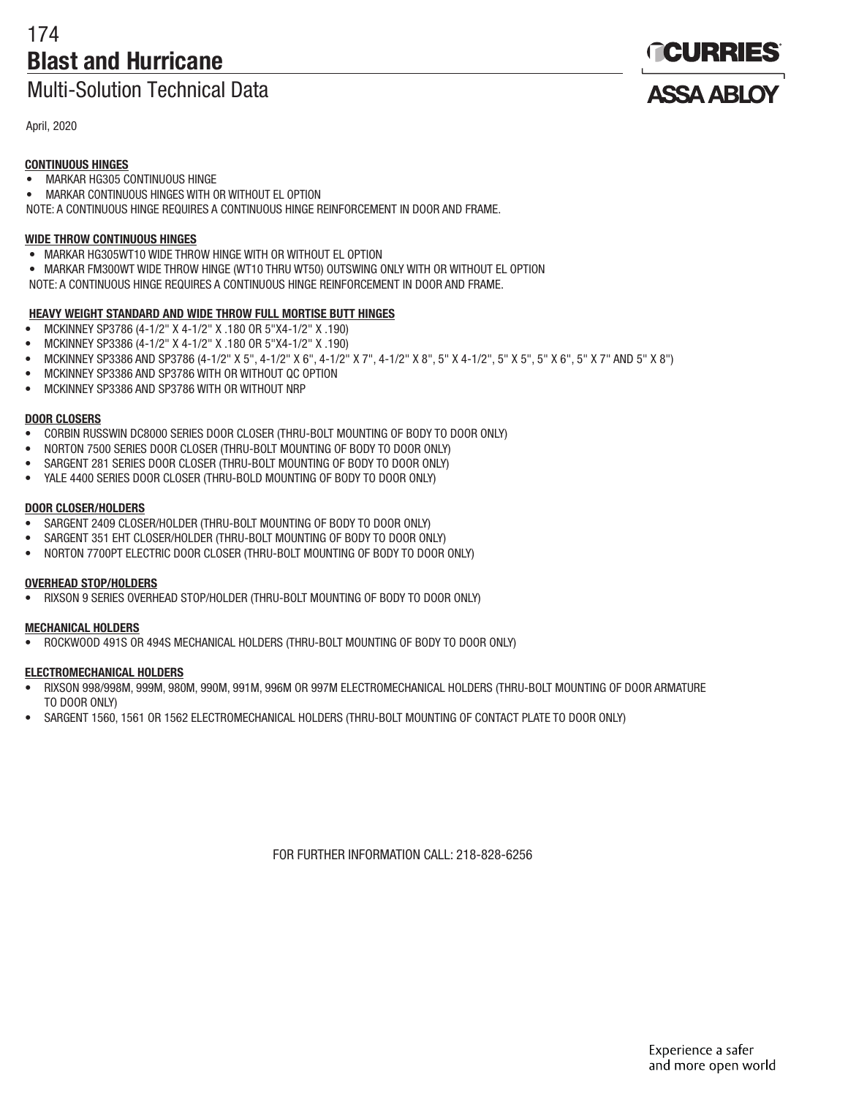# 174 **Blast and Hurricane**

# Multi-Solution Technical Data

April, 2020

### **CONTINUOUS HINGES**

- MARKAR HG305 CONTINUOUS HINGE
- MARKAR CONTINUOUS HINGES WITH OR WITHOUT EL OPTION
- NOTE: A CONTINUOUS HINGE REQUIRES A CONTINUOUS HINGE REINFORCEMENT IN DOOR AND FRAME.

### **WIDE THROW CONTINUOUS HINGES**

- MARKAR HG305WT10 WIDE THROW HINGE WITH OR WITHOUT EL OPTION
- MARKAR FM300WT WIDE THROW HINGE (WT10 THRU WT50) OUTSWING ONLY WITH OR WITHOUT EL OPTION
- NOTE: A CONTINUOUS HINGE REQUIRES A CONTINUOUS HINGE REINFORCEMENT IN DOOR AND FRAME.

### **HEAVY WEIGHT STANDARD AND WIDE THROW FULL MORTISE BUTT HINGES**

- MCKINNEY SP3786 (4-1/2" X 4-1/2" X .180 OR 5"X4-1/2" X .190)
- MCKINNEY SP3386 (4-1/2" X 4-1/2" X .180 OR 5"X4-1/2" X .190)
- MCKINNEY SP3386 AND SP3786 (4-1/2" X 5", 4-1/2" X 6", 4-1/2" X 7", 4-1/2" X 8", 5" X 4-1/2", 5" X 5", 5" X 6", 5" X 7" AND 5" X 8")
- MCKINNEY SP3386 AND SP3786 WITH OR WITHOUT QC OPTION
- MCKINNEY SP3386 AND SP3786 WITH OR WITHOUT NRP

### **DOOR CLOSERS**

- CORBIN RUSSWIN DC8000 SERIES DOOR CLOSER (THRU-BOLT MOUNTING OF BODY TO DOOR ONLY)
- NORTON 7500 SERIES DOOR CLOSER (THRU-BOLT MOUNTING OF BODY TO DOOR ONLY)
- SARGENT 281 SERIES DOOR CLOSER (THRU-BOLT MOUNTING OF BODY TO DOOR ONLY)
- YALE 4400 SERIES DOOR CLOSER (THRU-BOLD MOUNTING OF BODY TO DOOR ONLY)

### **DOOR CLOSER/HOLDERS**

- SARGENT 2409 CLOSER/HOLDER (THRU-BOLT MOUNTING OF BODY TO DOOR ONLY)
- SARGENT 351 EHT CLOSER/HOLDER (THRU-BOLT MOUNTING OF BODY TO DOOR ONLY)
- NORTON 7700PT ELECTRIC DOOR CLOSER (THRU-BOLT MOUNTING OF BODY TO DOOR ONLY)

### **OVERHEAD STOP/HOLDERS**

• RIXSON 9 SERIES OVERHEAD STOP/HOLDER (THRU-BOLT MOUNTING OF BODY TO DOOR ONLY)

### **MECHANICAL HOLDERS**

• ROCKWOOD 491S OR 494S MECHANICAL HOLDERS (THRU-BOLT MOUNTING OF BODY TO DOOR ONLY)

### **ELECTROMECHANICAL HOLDERS**

- RIXSON 998/998M, 999M, 980M, 990M, 991M, 996M OR 997M ELECTROMECHANICAL HOLDERS (THRU-BOLT MOUNTING OF DOOR ARMATURE TO DOOR ONLY)
- SARGENT 1560, 1561 OR 1562 ELECTROMECHANICAL HOLDERS (THRU-BOLT MOUNTING OF CONTACT PLATE TO DOOR ONLY)

FOR FURTHER INFORMATION CALL: 218-828-6256

**TCURRIES** 

**ASSA ARIOY**